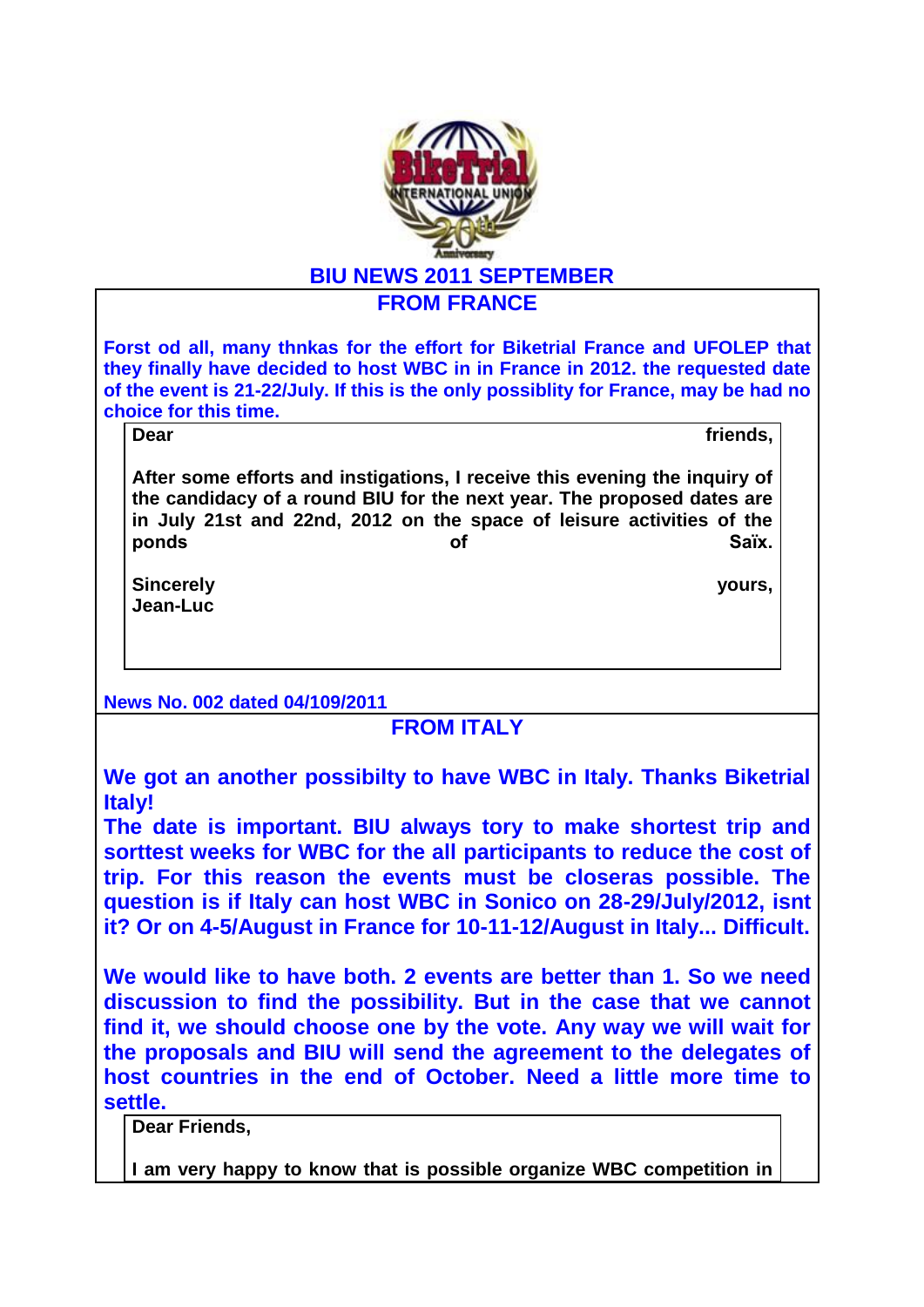

**Forst od all, many thnkas for the effort for Biketrial France and UFOLEP that they finally have decided to host WBC in in France in 2012. the requested date of the event is 21-22/July. If this is the only possiblity for France, may be had no choice for this time.** 

**Dear friends,**

**After some efforts and instigations, I receive this evening the inquiry of the candidacy of a round BIU for the next year. The proposed dates are in July 21st and 22nd, 2012 on the space of leisure activities of the**  ponds extending the of the state of the Saïx.

**Sincerely yours, Jean-Luc** 

**News No. 002 dated 04/109/2011**

**FROM ITALY**

**We got an another possibilty to have WBC in Italy. Thanks Biketrial Italy!** 

**The date is important. BIU always tory to make shortest trip and sorttest weeks for WBC for the all participants to reduce the cost of trip. For this reason the events must be closeras possible. The question is if Italy can host WBC in Sonico on 28-29/July/2012, isnt it? Or on 4-5/August in France for 10-11-12/August in Italy... Difficult.**

**We would like to have both. 2 events are better than 1. So we need discussion to find the possibility. But in the case that we cannot find it, we should choose one by the vote. Any way we will wait for the proposals and BIU will send the agreement to the delegates of host countries in the end of October. Need a little more time to settle.** 

**Dear Friends,**

**I am very happy to know that is possible organize WBC competition in**